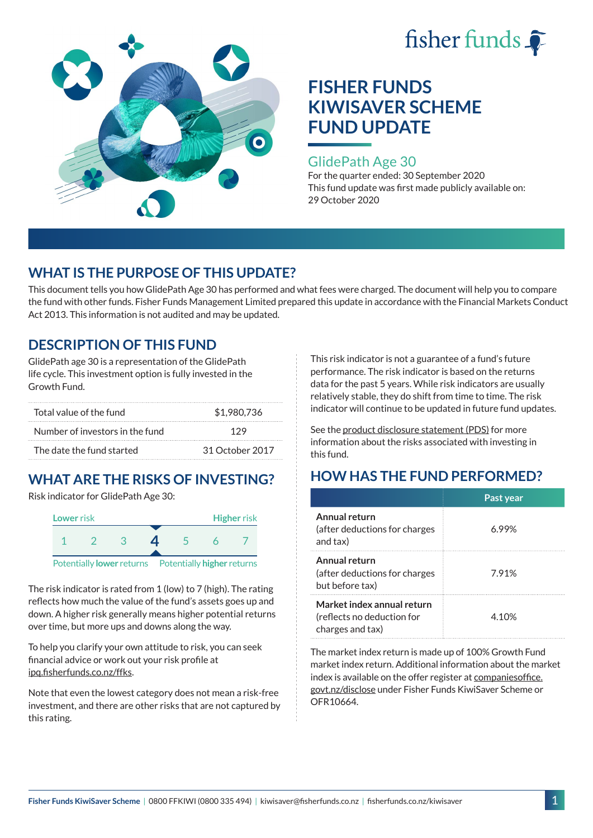



### GlidePath Age 30

For the quarter ended: 30 September 2020 This fund update was first made publicly available on: 29 October 2020

# **WHAT IS THE PURPOSE OF THIS UPDATE?**

This document tells you how GlidePath Age 30 has performed and what fees were charged. The document will help you to compare the fund with other funds. Fisher Funds Management Limited prepared this update in accordance with the Financial Markets Conduct Act 2013. This information is not audited and may be updated.

# **DESCRIPTION OF THIS FUND**

GlidePath age 30 is a representation of the GlidePath life cycle. This investment option is fully invested in the Growth Fund.

| Total value of the fund         | \$1,980,736     |  |
|---------------------------------|-----------------|--|
| Number of investors in the fund | 129             |  |
| The date the fund started       | 31 October 2017 |  |

# **WHAT ARE THE RISKS OF INVESTING?**

Risk indicator for GlidePath Age 30:



The risk indicator is rated from 1 (low) to 7 (high). The rating

reflects how much the value of the fund's assets goes up and down. A higher risk generally means higher potential returns over time, but more ups and downs along the way.

To help you clarify your own attitude to risk, you can seek financial advice or work out your risk profile at [ipq.fisherfunds.co.nz/ffks](https://ipq.fisherfunds.co.nz/ffks).

Note that even the lowest category does not mean a risk-free investment, and there are other risks that are not captured by this rating.

This risk indicator is not a guarantee of a fund's future performance. The risk indicator is based on the returns data for the past 5 years. While risk indicators are usually relatively stable, they do shift from time to time. The risk indicator will continue to be updated in future fund updates.

See the [product disclosure statement \(PDS\)](https://fisherfunds.co.nz/assets/PDS/Fisher-Funds-KiwiSaver-Scheme-PDS.pdf) for more information about the risks associated with investing in this fund.

# **HOW HAS THE FUND PERFORMED?**

|                                                                              | Past year |
|------------------------------------------------------------------------------|-----------|
| Annual return<br>(after deductions for charges<br>and tax)                   | 6.99%     |
| Annual return<br>(after deductions for charges<br>but before tax)            | 7.91%     |
| Market index annual return<br>(reflects no deduction for<br>charges and tax) | 4.10%     |

The market index return is made up of 100% Growth Fund market index return. Additional information about the market index is available on the offer register at [companiesoffice.](http://companiesoffice.govt.nz/disclose) [govt.nz/disclose](http://companiesoffice.govt.nz/disclose) under Fisher Funds KiwiSaver Scheme or OFR10664.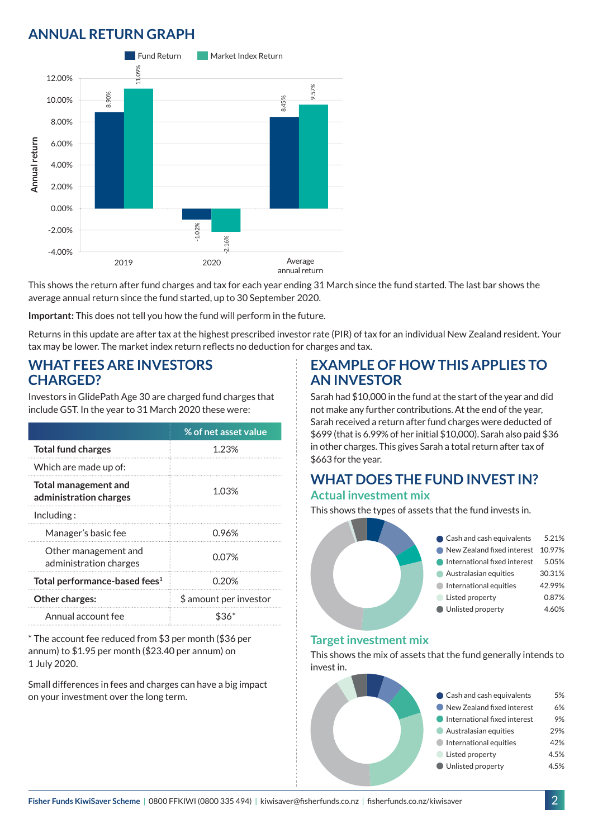# **ANNUAL RETURN GRAPH**



This shows the return after fund charges and tax for each year ending 31 March since the fund started. The last bar shows the average annual return since the fund started, up to 30 September 2020.

**Important:** This does not tell you how the fund will perform in the future.

Returns in this update are after tax at the highest prescribed investor rate (PIR) of tax for an individual New Zealand resident. Your tax may be lower. The market index return reflects no deduction for charges and tax.

### **WHAT FEES ARE INVESTORS CHARGED?**

Investors in GlidePath Age 30 are charged fund charges that include GST. In the year to 31 March 2020 these were:

|                                                         | % of net asset value   |  |
|---------------------------------------------------------|------------------------|--|
| <b>Total fund charges</b>                               | 1.23%                  |  |
| Which are made up of:                                   |                        |  |
| <b>Total management and</b><br>administration charges   | 1.03%                  |  |
| Inding:                                                 |                        |  |
| Manager's basic fee                                     | 0.96%                  |  |
| Other management and<br>0.07%<br>administration charges |                        |  |
| Total performance-based fees <sup>1</sup>               | 0.20%                  |  |
| <b>Other charges:</b>                                   | \$ amount per investor |  |
| Annual account fee                                      |                        |  |

\* The account fee reduced from \$3 per month (\$36 per annum) to \$1.95 per month (\$23.40 per annum) on 1 July 2020.

Small differences in fees and charges can have a big impact on your investment over the long term.

### **EXAMPLE OF HOW THIS APPLIES TO AN INVESTOR**

Sarah had \$10,000 in the fund at the start of the year and did not make any further contributions. At the end of the year, Sarah received a return after fund charges were deducted of \$699 (that is 6.99% of her initial \$10,000). Sarah also paid \$36 in other charges. This gives Sarah a total return after tax of \$663 for the year.

#### **WHAT DOES THE FUND INVEST IN? Actual investment mix**

This shows the types of assets that the fund invests in.



#### **Target investment mix**

This shows the mix of assets that the fund generally intends to invest in.